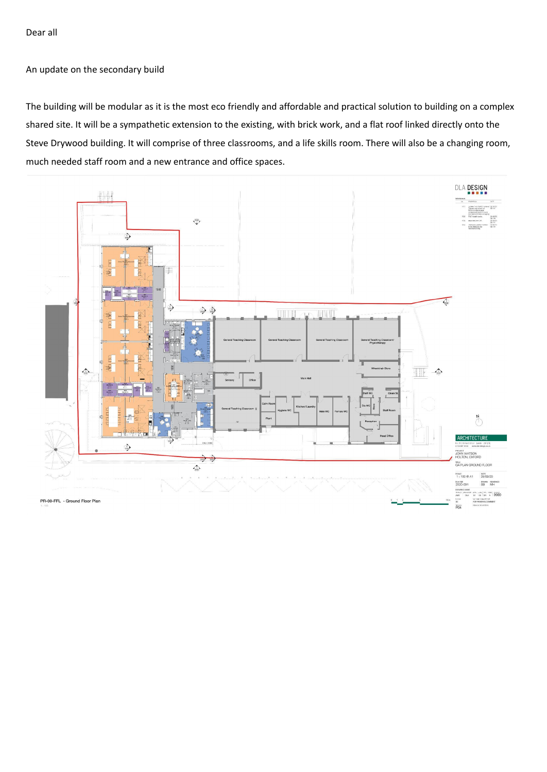Dear all

An update on the secondary build

The building will be modular as it is the most eco friendly and affordable and practical solution to building on a complex shared site. It will be a sympathetic extension to the existing, with brick work, and a flat roof linked directly onto the Steve Drywood building. It will comprise of three classrooms, and a life skills room. There will also be a changing room, much needed staff room and a new entrance and office spaces.